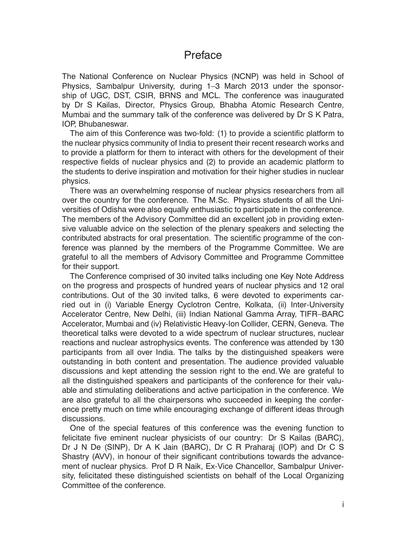## Preface

The National Conference on Nuclear Physics (NCNP) was held in School of Physics, Sambalpur University, during 1–3 March 2013 under the sponsorship of UGC, DST, CSIR, BRNS and MCL. The conference was inaugurated by Dr S Kailas, Director, Physics Group, Bhabha Atomic Research Centre, Mumbai and the summary talk of the conference was delivered by Dr S K Patra, IOP, Bhubaneswar.

The aim of this Conference was two-fold: (1) to provide a scientific platform to the nuclear physics community of India to present their recent research works and to provide a platform for them to interact with others for the development of their respective fields of nuclear physics and (2) to provide an academic platform to the students to derive inspiration and motivation for their higher studies in nuclear physics.

There was an overwhelming response of nuclear physics researchers from all over the country for the conference. The M.Sc. Physics students of all the Universities of Odisha were also equally enthusiastic to participate in the conference. The members of the Advisory Committee did an excellent job in providing extensive valuable advice on the selection of the plenary speakers and selecting the contributed abstracts for oral presentation. The scientific programme of the conference was planned by the members of the Programme Committee. We are grateful to all the members of Advisory Committee and Programme Committee for their support.

The Conference comprised of 30 invited talks including one Key Note Address on the progress and prospects of hundred years of nuclear physics and 12 oral contributions. Out of the 30 invited talks, 6 were devoted to experiments carried out in (i) Variable Energy Cyclotron Centre, Kolkata, (ii) Inter-University Accelerator Centre, New Delhi, (iii) Indian National Gamma Array, TIFR–BARC Accelerator, Mumbai and (iv) Relativistic Heavy-Ion Collider, CERN, Geneva. The theoretical talks were devoted to a wide spectrum of nuclear structures, nuclear reactions and nuclear astrophysics events. The conference was attended by 130 participants from all over India. The talks by the distinguished speakers were outstanding in both content and presentation. The audience provided valuable discussions and kept attending the session right to the end.We are grateful to all the distinguished speakers and participants of the conference for their valuable and stimulating deliberations and active participation in the conference. We are also grateful to all the chairpersons who succeeded in keeping the conference pretty much on time while encouraging exchange of different ideas through discussions.

One of the special features of this conference was the evening function to felicitate five eminent nuclear physicists of our country: Dr S Kailas (BARC), Dr J N De (SINP), Dr A K Jain (BARC), Dr C R Praharaj (IOP) and Dr C S Shastry (AVV), in honour of their significant contributions towards the advancement of nuclear physics. Prof D R Naik, Ex-Vice Chancellor, Sambalpur University, felicitated these distinguished scientists on behalf of the Local Organizing Committee of the conference.